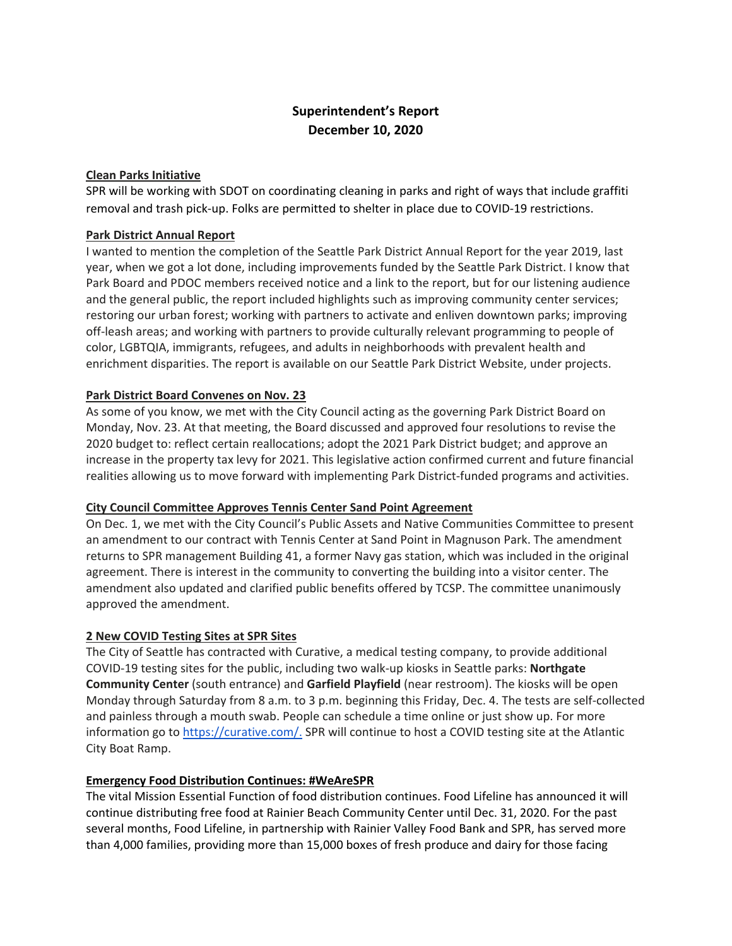# **Superintendent's Report December 10, 2020**

## **Clean Parks Initiative**

SPR will be working with SDOT on coordinating cleaning in parks and right of ways that include graffiti removal and trash pick-up. Folks are permitted to shelter in place due to COVID-19 restrictions.

## **Park District Annual Report**

I wanted to mention the completion of the Seattle Park District Annual Report for the year 2019, last year, when we got a lot done, including improvements funded by the Seattle Park District. I know that Park Board and PDOC members received notice and a link to the report, but for our listening audience and the general public, the report included highlights such as improving community center services; restoring our urban forest; working with partners to activate and enliven downtown parks; improving off-leash areas; and working with partners to provide culturally relevant programming to people of color, LGBTQIA, immigrants, refugees, and adults in neighborhoods with prevalent health and enrichment disparities. The report is available on our Seattle Park District Website, under projects.

## **Park District Board Convenes on Nov. 23**

As some of you know, we met with the City Council acting as the governing Park District Board on Monday, Nov. 23. At that meeting, the Board discussed and approved four resolutions to revise the 2020 budget to: reflect certain reallocations; adopt the 2021 Park District budget; and approve an increase in the property tax levy for 2021. This legislative action confirmed current and future financial realities allowing us to move forward with implementing Park District-funded programs and activities.

### **City Council Committee Approves Tennis Center Sand Point Agreement**

On Dec. 1, we met with the City Council's Public Assets and Native Communities Committee to present an amendment to our contract with Tennis Center at Sand Point in Magnuson Park. The amendment returns to SPR management Building 41, a former Navy gas station, which was included in the original agreement. There is interest in the community to converting the building into a visitor center. The amendment also updated and clarified public benefits offered by TCSP. The committee unanimously approved the amendment.

### **2 New COVID Testing Sites at SPR Sites**

The City of Seattle has contracted with Curative, a medical testing company, to provide additional COVID-19 testing sites for the public, including two walk-up kiosks in Seattle parks: **Northgate Community Center** (south entrance) and **Garfield Playfield** (near restroom). The kiosks will be open Monday through Saturday from 8 a.m. to 3 p.m. beginning this Friday, Dec. 4. The tests are self-collected and painless through a mouth swab. People can schedule a time online or just show up. For more information go to [https://curative.com/.](https://curative.com/) SPR will continue to host a COVID testing site at the Atlantic City Boat Ramp.

### **Emergency Food Distribution Continues: #WeAreSPR**

The vital Mission Essential Function of food distribution continues. Food Lifeline has announced it will continue distributing free food at Rainier Beach Community Center until Dec. 31, 2020. For the past several months, Food Lifeline, in partnership with Rainier Valley Food Bank and SPR, has served more than 4,000 families, providing more than 15,000 boxes of fresh produce and dairy for those facing